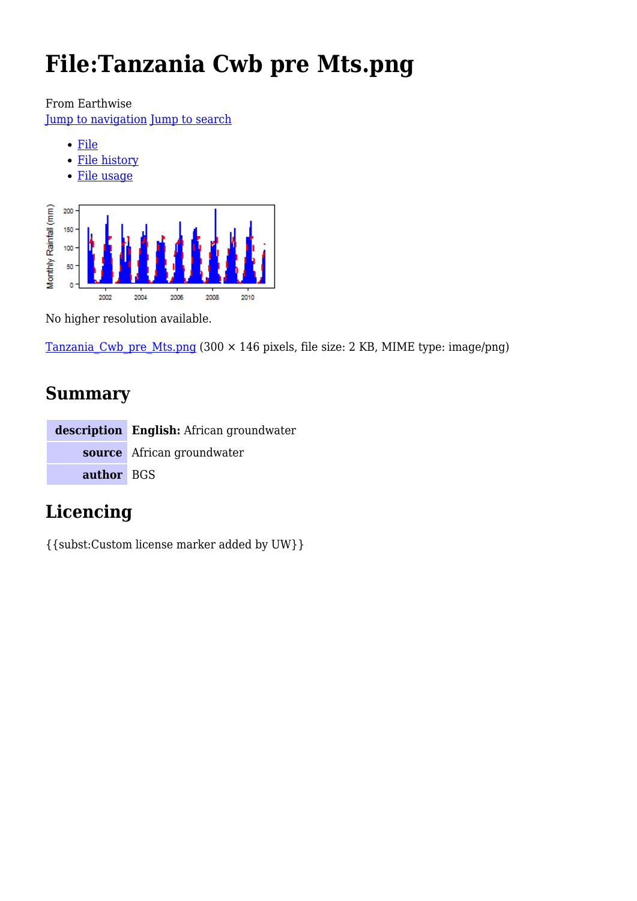# **File:Tanzania Cwb pre Mts.png**

From Earthwise

[Jump to navigation](#page--1-0) [Jump to search](#page--1-0)

- [File](#page--1-0)
- [File history](#page--1-0)
- [File usage](#page--1-0)



No higher resolution available.

Tanzania Cwb pre Mts.png (300 × 146 pixels, file size: 2 KB, MIME type: image/png)

# **Summary**

|            | description English: African groundwater |
|------------|------------------------------------------|
|            | source African groundwater               |
| author BGS |                                          |

# **Licencing**

{{subst:Custom license marker added by UW}}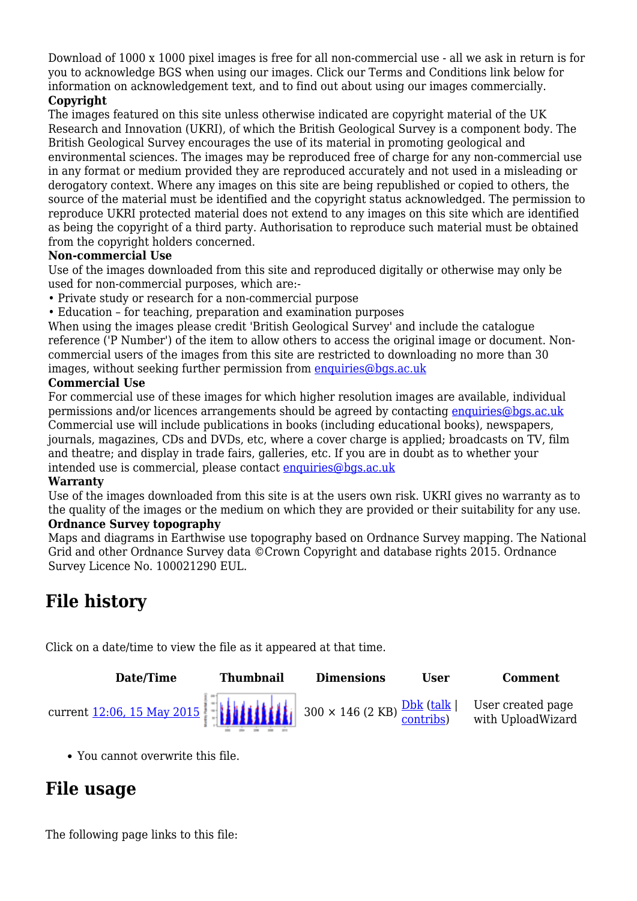Download of 1000 x 1000 pixel images is free for all non-commercial use - all we ask in return is for you to acknowledge BGS when using our images. Click our Terms and Conditions link below for information on acknowledgement text, and to find out about using our images commercially.

### **Copyright**

The images featured on this site unless otherwise indicated are copyright material of the UK Research and Innovation (UKRI), of which the British Geological Survey is a component body. The British Geological Survey encourages the use of its material in promoting geological and environmental sciences. The images may be reproduced free of charge for any non-commercial use in any format or medium provided they are reproduced accurately and not used in a misleading or derogatory context. Where any images on this site are being republished or copied to others, the source of the material must be identified and the copyright status acknowledged. The permission to reproduce UKRI protected material does not extend to any images on this site which are identified as being the copyright of a third party. Authorisation to reproduce such material must be obtained from the copyright holders concerned.

#### **Non-commercial Use**

Use of the images downloaded from this site and reproduced digitally or otherwise may only be used for non-commercial purposes, which are:-

- Private study or research for a non-commercial purpose
- Education for teaching, preparation and examination purposes

When using the images please credit 'British Geological Survey' and include the catalogue reference ('P Number') of the item to allow others to access the original image or document. Noncommercial users of the images from this site are restricted to downloading no more than 30 images, without seeking further permission from [enquiries@bgs.ac.uk](mailto:enquiries@bgs.ac.uk)

#### **Commercial Use**

For commercial use of these images for which higher resolution images are available, individual permissions and/or licences arrangements should be agreed by contacting [enquiries@bgs.ac.uk](mailto:enquiries@bgs.ac.uk) Commercial use will include publications in books (including educational books), newspapers, journals, magazines, CDs and DVDs, etc, where a cover charge is applied; broadcasts on TV, film and theatre; and display in trade fairs, galleries, etc. If you are in doubt as to whether your intended use is commercial, please contact [enquiries@bgs.ac.uk](mailto:enquiries@bgs.ac.uk)

#### **Warranty**

Use of the images downloaded from this site is at the users own risk. UKRI gives no warranty as to the quality of the images or the medium on which they are provided or their suitability for any use. **Ordnance Survey topography**

Maps and diagrams in Earthwise use topography based on Ordnance Survey mapping. The National Grid and other Ordnance Survey data ©Crown Copyright and database rights 2015. Ordnance Survey Licence No. 100021290 EUL.

# **File history**

Click on a date/time to view the file as it appeared at that time.



You cannot overwrite this file.

# **File usage**

The following page links to this file: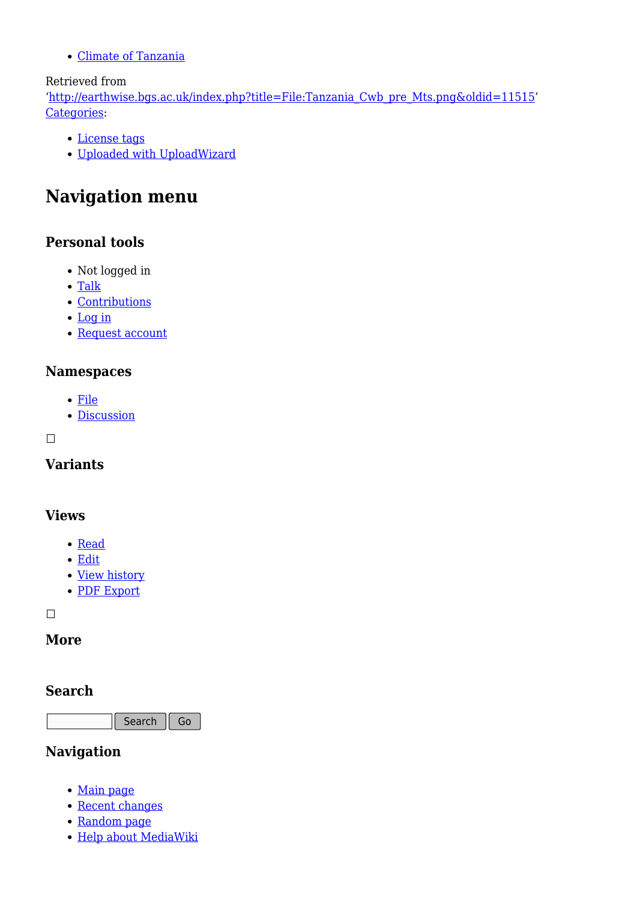[Climate of Tanzania](http://earthwise.bgs.ac.uk/index.php/Climate_of_Tanzania)

### Retrieved from

'[http://earthwise.bgs.ac.uk/index.php?title=File:Tanzania\\_Cwb\\_pre\\_Mts.png&oldid=11515](http://earthwise.bgs.ac.uk/index.php?title=File:Tanzania_Cwb_pre_Mts.png&oldid=11515)' [Categories:](http://earthwise.bgs.ac.uk/index.php/Special:Categories)

- [License tags](http://earthwise.bgs.ac.uk/index.php/Category:License_tags)
- [Uploaded with UploadWizard](http://earthwise.bgs.ac.uk/index.php/Category:Uploaded_with_UploadWizard)

# **Navigation menu**

## **Personal tools**

- Not logged in
- [Talk](http://earthwise.bgs.ac.uk/index.php/Special:MyTalk)
- [Contributions](http://earthwise.bgs.ac.uk/index.php/Special:MyContributions)
- [Log in](http://earthwise.bgs.ac.uk/index.php?title=Special:UserLogin&returnto=File%3ATanzania+Cwb+pre+Mts.png&returntoquery=action%3Dmpdf)
- [Request account](http://earthwise.bgs.ac.uk/index.php/Special:RequestAccount)

### **Namespaces**

- [File](http://earthwise.bgs.ac.uk/index.php/File:Tanzania_Cwb_pre_Mts.png)
- [Discussion](http://earthwise.bgs.ac.uk/index.php?title=File_talk:Tanzania_Cwb_pre_Mts.png&action=edit&redlink=1)

### $\Box$

**Variants**

## **Views**

- [Read](http://earthwise.bgs.ac.uk/index.php/File:Tanzania_Cwb_pre_Mts.png)
- [Edit](http://earthwise.bgs.ac.uk/index.php?title=File:Tanzania_Cwb_pre_Mts.png&action=edit)
- [View history](http://earthwise.bgs.ac.uk/index.php?title=File:Tanzania_Cwb_pre_Mts.png&action=history)
- [PDF Export](http://earthwise.bgs.ac.uk/index.php?title=File:Tanzania_Cwb_pre_Mts.png&action=mpdf)

 $\Box$ 

## **More**

### **Search**

Search Go

## **Navigation**

- [Main page](http://earthwise.bgs.ac.uk/index.php/Main_Page)
- [Recent changes](http://earthwise.bgs.ac.uk/index.php/Special:RecentChanges)
- [Random page](http://earthwise.bgs.ac.uk/index.php/Special:Random)
- [Help about MediaWiki](https://www.mediawiki.org/wiki/Special:MyLanguage/Help:Contents)